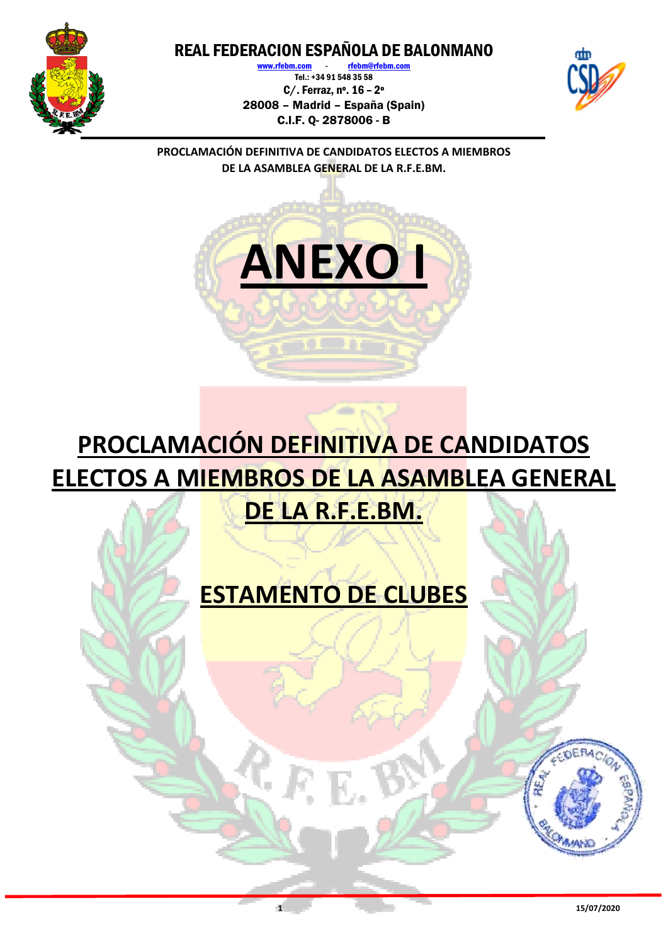

www.rfebm.com Tel.: +34 91 548 35 58 C/. Ferraz, nº. 16 – 2º 28008 – Madrid – España (Spain) C.I.F. Q- 2878006 - B



**PROCLAMACIÓN DEFINITIVA DE CANDIDATOS ELECTOS A MIEMBROS DE LA ASAMBLEA GENERAL DE LA R.F.E.BM.**



## **PROCLAMACIÓN DEFINITIVA DE CANDIDATOS ELECTOS A MIEMBROS DE LA ASAMBLEA GENERAL DE LA R.F.E.BM.**

## **ESTAMENTO DE CLUBES**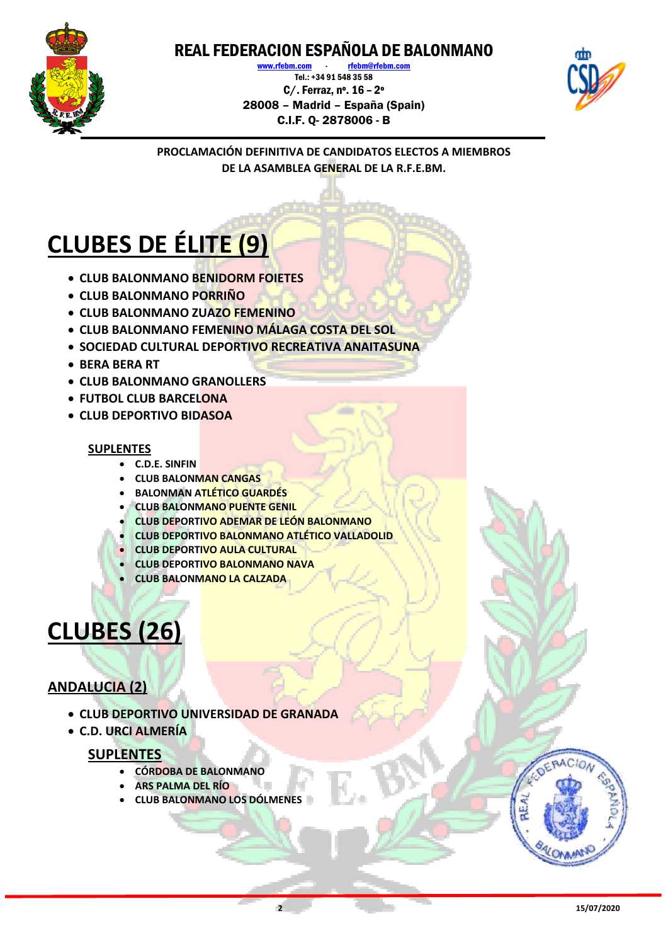

www.rfebm.com rfebm@rfebm.com Tel.: +34 91 548 35 58 C/. Ferraz, nº. 16 – 2º 28008 – Madrid – España (Spain) C.I.F. Q- 2878006 - B



**PROCLAMACIÓN DEFINITIVA DE CANDIDATOS ELECTOS A MIEMBROS DE LA ASAMBLEA GENERAL DE LA R.F.E.BM.**

# **CLUBES DE ÉLITE (9)**

- **CLUB BALONMANO BENIDORM FOIETES**
- **CLUB BALONMANO PORRIÑO**
- **CLUB BALONMANO ZUAZO FEMENINO**
- **CLUB BALONMANO FEMENINO MÁLAGA COSTA DEL SOL**
- **SOCIEDAD CULTURAL DEPORTIVO RECREATIVA ANAITASUNA**
- **BERA BERA RT**
- **CLUB BALONMANO GRANOLLERS**
- **FUTBOL CLUB BARCELONA**
- **CLUB DEPORTIVO BIDASOA**

#### **SUPLENTES**

- **C.D.E. SINFIN**
- **CLUB BALONMAN CANGAS**
- **BALONMAN ATLÉTICO GUARDÉS**
- **CLUB BALONMANO PUENTE GENIL**
- **CLUB DEPORTIVO ADEMAR DE LEÓN BALONMANO**
- **CLUB DEPORTIVO BALONMANO ATLÉTICO VALLADOLID**
- **CLUB DEPORTIVO AULA CULTURAL**
- **CLUB DEPORTIVO BALONMANO NAVA**
- **CLUB BALONMANO LA CALZADA**

## **CLUBES (26)**

#### **ANDALUCIA (2)**

- **CLUB DEPORTIVO UNIVERSIDAD DE GRANADA**
- **C.D. URCI ALMERÍA**

#### **SUPLENTES**

- **CÓRDOBA DE BALONMANO**
- **ARS PALMA DEL RÍO**
- **CLUB BALONMANO LOS DÓLMENES**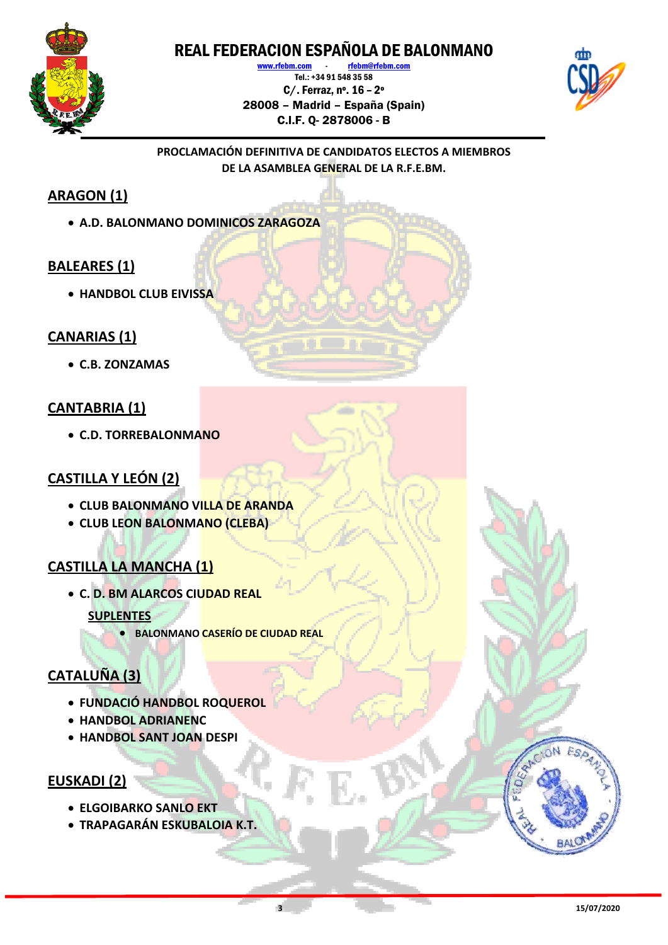

www.rfebm.com - rfebm@rfebm.com Tel.: +34 91 548 35 58 C/. Ferraz, nº. 16 – 2º 28008 – Madrid – España (Spain) C.I.F. Q- 2878006 - B



#### **PROCLAMACIÓN DEFINITIVA DE CANDIDATOS ELECTOS A MIEMBROS DE LA ASAMBLEA GENERAL DE LA R.F.E.BM.**

### **ARAGON (1)**

**A.D. BALONMANO DOMINICOS ZARAGOZA**

#### **BALEARES (1)**

**HANDBOL CLUB EIVISSA**

#### **CANARIAS (1)**

**C.B. ZONZAMAS**

#### **CANTABRIA (1)**

**C.D. TORREBALONMANO**

#### **CASTILLA Y LEÓN (2)**

- **CLUB BALONMANO VILLA DE ARANDA**
- **CLUB LEON BALONMANO (CLEBA)**

### **CASTILLA LA MANCHA (1)**

- **C. D. BM ALARCOS CIUDAD REAL SUPLENTES**
	- **BALONMANO CASERÍO DE CIUDAD REAL**

### **CATALUÑA (3)**

- **FUNDACIÓ HANDBOL ROQUEROL**
- **HANDBOL ADRIANENC**
- **HANDBOL SANT JOAN DESPI**

#### **EUSKADI (2)**

- **ELGOIBARKO SANLO EKT**
- **TRAPAGARÁN ESKUBALOIA K.T.**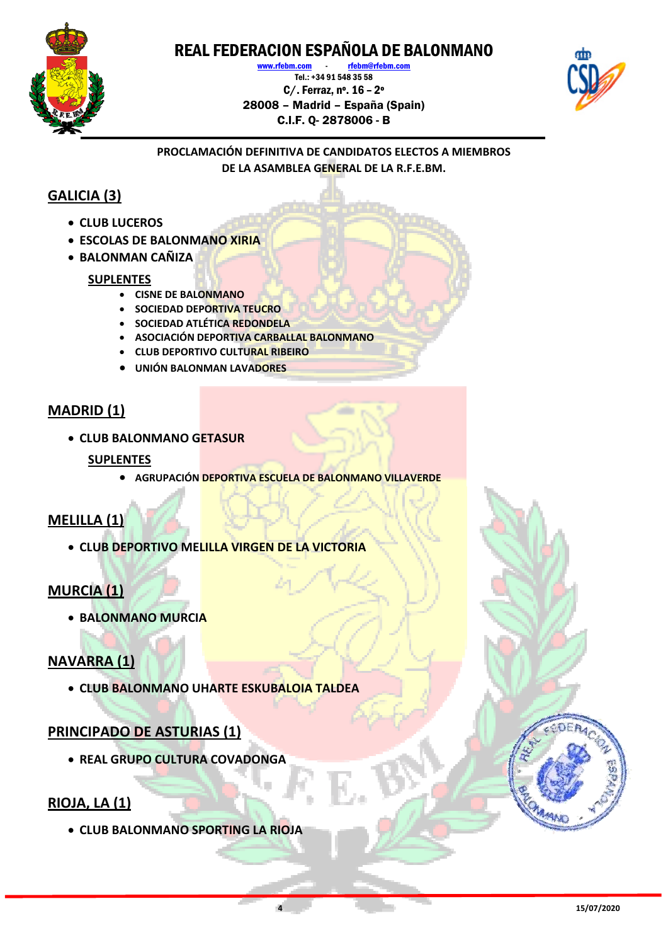

www.rfebm.com rfebm@rfebm.com Tel.: +34 91 548 35 58 C/. Ferraz, nº. 16 – 2º 28008 – Madrid – España (Spain) C.I.F. Q- 2878006 - B



#### **PROCLAMACIÓN DEFINITIVA DE CANDIDATOS ELECTOS A MIEMBROS DE LA ASAMBLEA GENERAL DE LA R.F.E.BM.**

### **GALICIA (3)**

- **CLUB LUCEROS**
- **ESCOLAS DE BALONMANO XIRIA**
- **BALONMAN CAÑIZA**

#### **SUPLENTES**

- **CISNE DE BALONMANO**
- **SOCIEDAD DEPORTIVA TEUCRO**
- **SOCIEDAD ATLÉTICA REDONDELA**
- **ASOCIACIÓN DEPORTIVA CARBALLAL BALONMANO**
- **CLUB DEPORTIVO CULTURAL RIBEIRO**
- **UNIÓN BALONMAN LAVADORES**

#### **MADRID (1)**

**CLUB BALONMANO GETASUR**

#### **SUPLENTES**

**AGRUPACIÓN DEPORTIVA ESCUELA DE BALONMANO VILLAVERDE**

#### **MELILLA (1)**

**CLUB DEPORTIVO MELILLA VIRGEN DE LA VICTORIA**

#### **MURCIA (1)**

**BALONMANO MURCIA**

#### **NAVARRA (1)**

**CLUB BALONMANO UHARTE ESKUBALOIA TALDEA**

#### **PRINCIPADO DE ASTURIAS (1)**

**REAL GRUPO CULTURA COVADONGA**

#### **RIOJA, LA (1)**

**CLUB BALONMANO SPORTING LA RIOJA**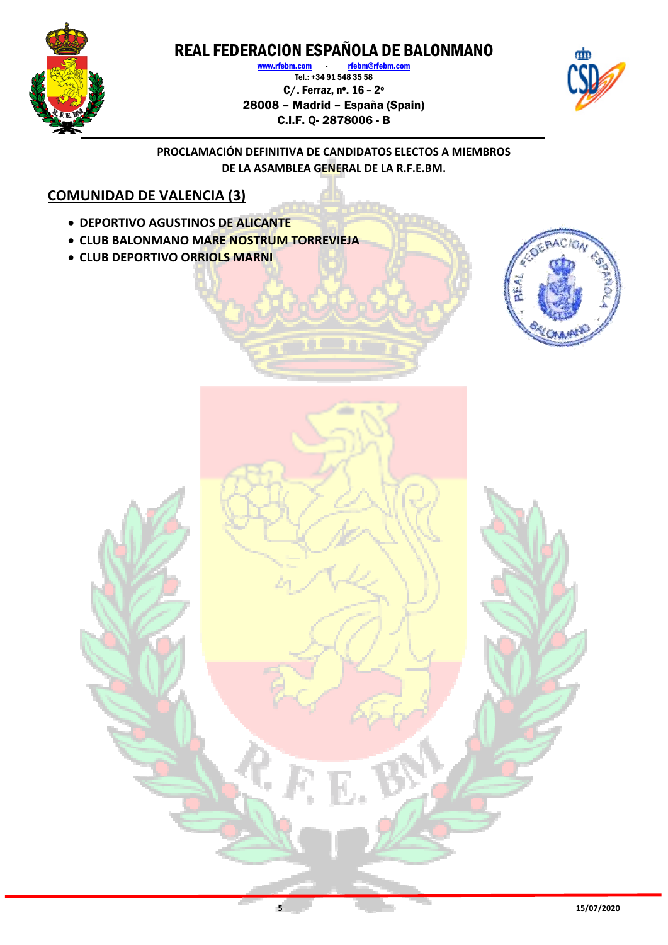

www.rfebm.com - rfebm@rfebm.com  $T$ el.: +34 91 548 35 58 C/. Ferraz, nº. 16 – 2º 28008 – Madrid – España (Spain) C.I.F. Q- 2878006 - B



**PROCLAMACIÓN DEFINITIVA DE CANDIDATOS ELECTOS A MIEMBROS DE LA ASAMBLEA GENERAL DE LA R.F.E.BM.**

### **COMUNIDAD DE VALENCIA (3)**

- **DEPORTIVO AGUSTINOS DE ALICANTE**
- **CLUB BALONMANO MARE NOSTRUM TORREVIEJA**
- **CLUB DEPORTIVO ORRIOLS MARNI**

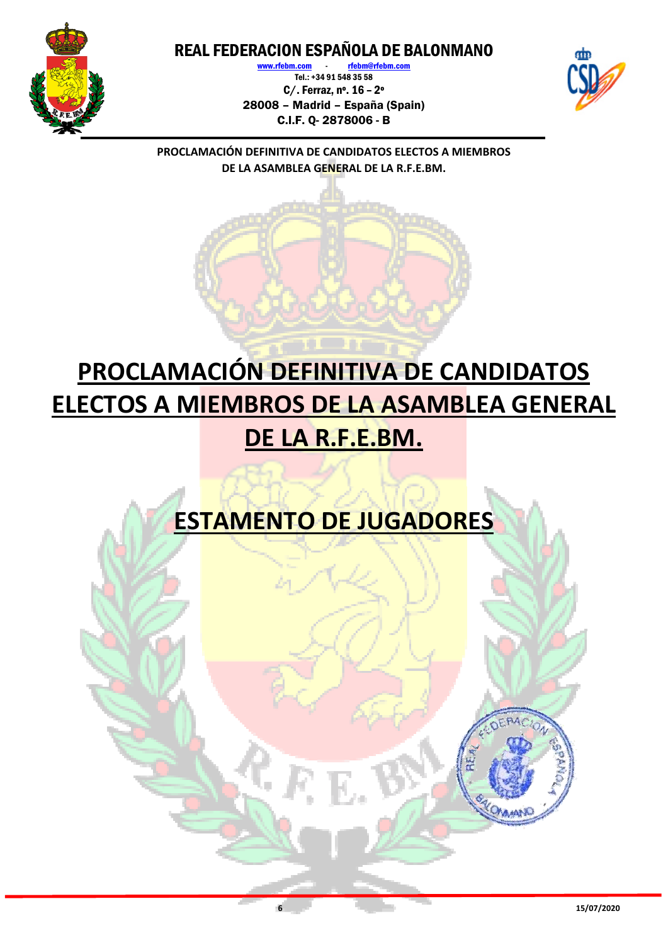

rfebm@r Tel.: +34 91 548 35 58 C/. Ferraz, nº. 16 – 2º 28008 – Madrid – España (Spain) C.I.F. Q- 2878006 - B



**PROCLAMACIÓN DEFINITIVA DE CANDIDATOS ELECTOS A MIEMBROS DE LA ASAMBLEA GENERAL DE LA R.F.E.BM.**

# **PROCLAMACIÓN DEFINITIVA DE CANDIDATOS ELECTOS A MIEMBROS DE LA ASAMBLEA GENERAL DE LA R.F.E.BM.**

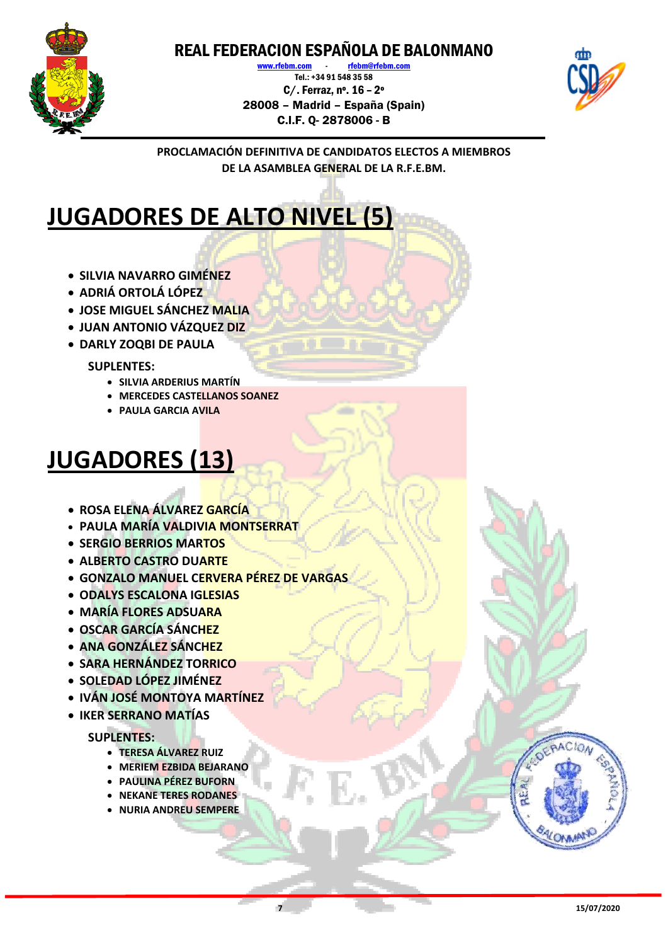

www.rfebm.com rfebm@rfebm.com Tel.: +34 91 548 35 58 C/. Ferraz, nº. 16 – 2º 28008 – Madrid – España (Spain) C.I.F. Q- 2878006 - B



**PROCLAMACIÓN DEFINITIVA DE CANDIDATOS ELECTOS A MIEMBROS DE LA ASAMBLEA GENERAL DE LA R.F.E.BM.**

## **JUGADORES DE ALTO NIVEL (5)**

- **SILVIA NAVARRO GIMÉNEZ**
- **ADRIÁ ORTOLÁ LÓPEZ**
- **JOSE MIGUEL SÁNCHEZ MALIA**
- **JUAN ANTONIO VÁZQUEZ DIZ**
- **DARLY ZOQBI DE PAULA**

#### **SUPLENTES:**

- **SILVIA ARDERIUS MARTÍN**
- **MERCEDES CASTELLANOS SOANEZ**
- **PAULA GARCIA AVILA**

## **JUGADORES (13)**

- **ROSA ELENA ÁLVAREZ GARCÍA**
- **PAULA MARÍA VALDIVIA MONTSERRAT**
- **SERGIO BERRIOS MARTOS**
- **ALBERTO CASTRO DUARTE**
- **GONZALO MANUEL CERVERA PÉREZ DE VARGAS**
- **ODALYS ESCALONA IGLESIAS**
- **MARÍA FLORES ADSUARA**
- **OSCAR GARCÍA SÁNCHEZ**
- **ANA GONZÁLEZ SÁNCHEZ**
- **SARA HERNÁNDEZ TORRICO**
- **SOLEDAD LÓPEZ JIMÉNEZ**
- **IVÁN JOSÉ MONTOYA MARTÍNEZ**
- **IKER SERRANO MATÍAS**

#### **SUPLENTES:**

- **TERESA ÁLVAREZ RUIZ**
- **MERIEM EZBIDA BEJARANO**
- **PAULINA PÉREZ BUFORN**
- **NEKANE TERES RODANES**
- **NURIA ANDREU SEMPERE**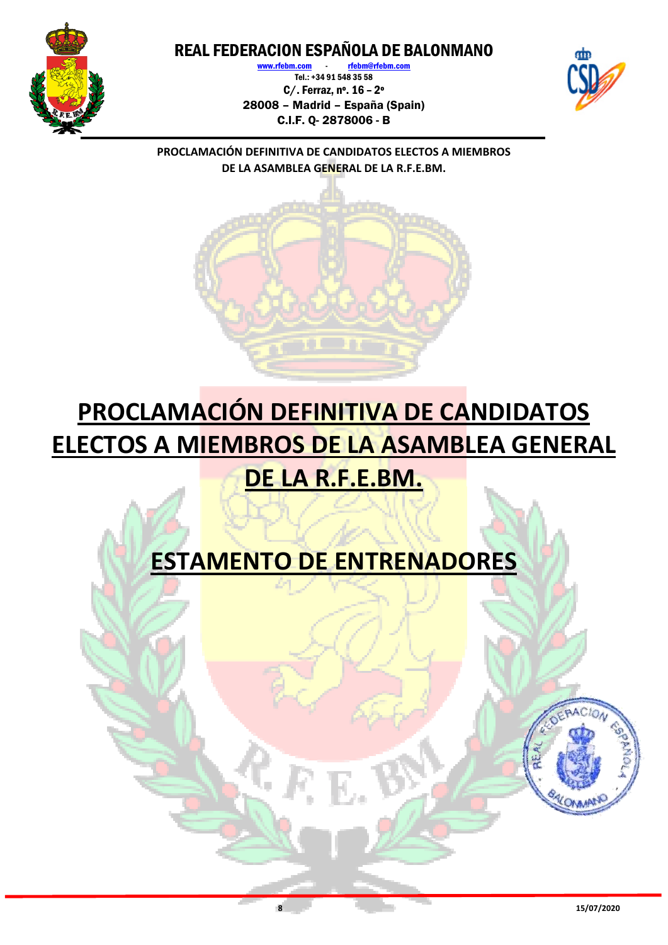

www.rfebm.com - rfebm@r Tel.: +34 91 548 35 58 C/. Ferraz, nº. 16 – 2º 28008 – Madrid – España (Spain) C.I.F. Q- 2878006 - B



**PROCLAMACIÓN DEFINITIVA DE CANDIDATOS ELECTOS A MIEMBROS DE LA ASAMBLEA GENERAL DE LA R.F.E.BM.**



## **PROCLAMACIÓN DEFINITIVA DE CANDIDATOS ELECTOS A MIEMBROS DE LA ASAMBLEA GENERAL DE LA R.F.E.BM.**

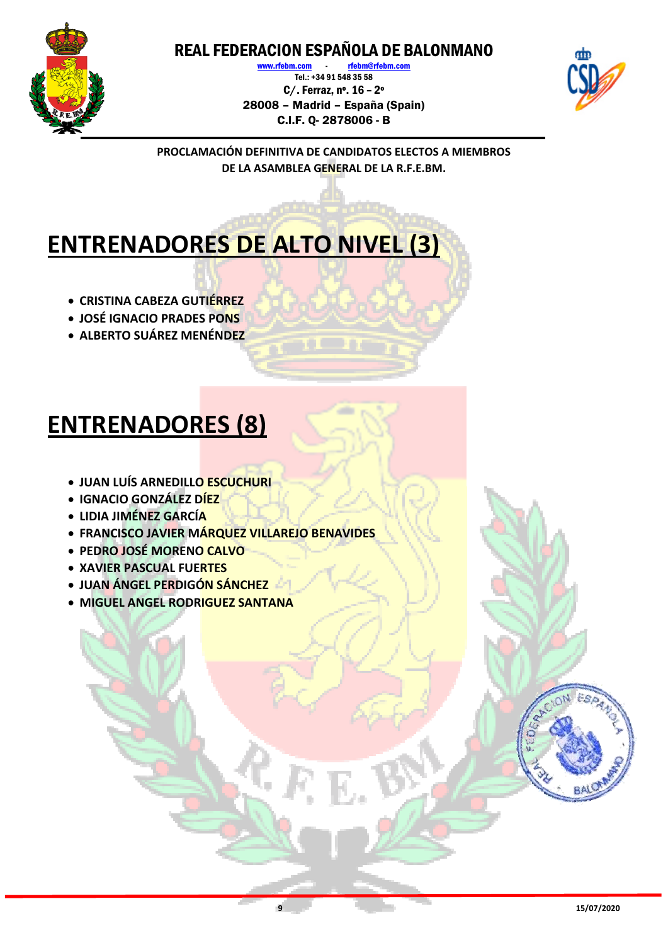

www.rfebm.com rfebm@rfebm.com Tel.: +34 91 548 35 58 C/. Ferraz, nº. 16 – 2º 28008 – Madrid – España (Spain) C.I.F. Q- 2878006 - B



**PROCLAMACIÓN DEFINITIVA DE CANDIDATOS ELECTOS A MIEMBROS DE LA ASAMBLEA GENERAL DE LA R.F.E.BM.**

## **ENTRENADORES DE ALTO NIVEL (3)**

- **CRISTINA CABEZA GUTIÉRREZ**
- **JOSÉ IGNACIO PRADES PONS**
- **ALBERTO SUÁREZ MENÉNDEZ**

## **ENTRENADORES (8)**

- **JUAN LUÍS ARNEDILLO ESCUCHURI**
- **IGNACIO GONZÁLEZ DÍEZ**
- **LIDIA JIMÉNEZ GARCÍA**
- **FRANCISCO JAVIER MÁRQUEZ VILLAREJO BENAVIDES**
- **PEDRO JOSÉ MORENO CALVO**
- **XAVIER PASCUAL FUERTES**
- **JUAN ÁNGEL PERDIGÓN SÁNCHEZ**
- **MIGUEL ANGEL RODRIGUEZ SANTANA**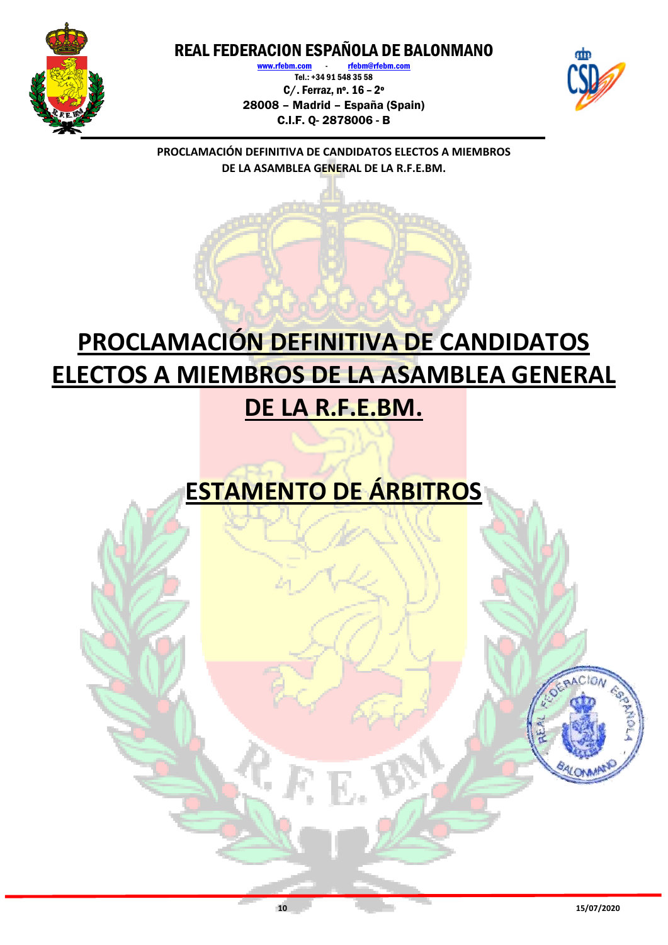

www.rfebm.com rfebm@rfe Tel.: +34 91 548 35 58 C/. Ferraz, nº. 16 – 2º 28008 – Madrid – España (Spain) C.I.F. Q- 2878006 - B



**PROCLAMACIÓN DEFINITIVA DE CANDIDATOS ELECTOS A MIEMBROS DE LA ASAMBLEA GENERAL DE LA R.F.E.BM.**

## **PROCLAMACIÓN DEFINITIVA DE CANDIDATOS ELECTOS A MIEMBROS DE LA ASAMBLEA GENERAL DE LA R.F.E.BM.**

## **ESTAMENTO DE ÁRBITROS**